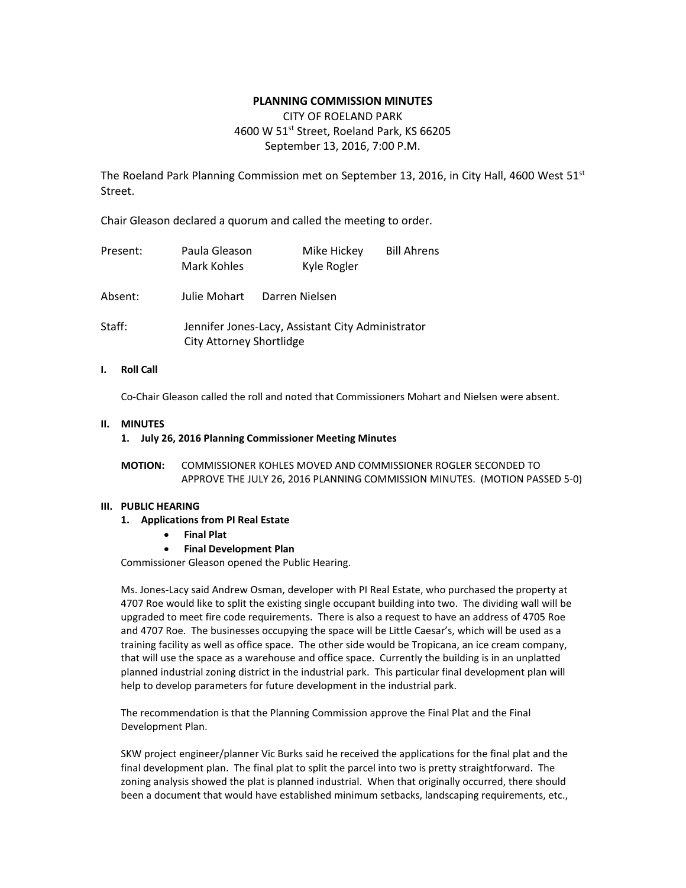# **PLANNING COMMISSION MINUTES**

# CITY OF ROELAND PARK 4600 W 51<sup>st</sup> Street, Roeland Park, KS 66205 September 13, 2016, 7:00 P.M.

The Roeland Park Planning Commission met on September 13, 2016, in City Hall, 4600 West  $51^{st}$ Street.

Chair Gleason declared a quorum and called the meeting to order.

| Present: | Paula Gleason<br>Mark Kohles    | Mike Hickey<br>Kyle Rogler                        | <b>Bill Ahrens</b> |
|----------|---------------------------------|---------------------------------------------------|--------------------|
| Absent:  | Julie Mohart                    | Darren Nielsen                                    |                    |
| Staff:   | <b>City Attorney Shortlidge</b> | Jennifer Jones-Lacy, Assistant City Administrator |                    |

### **I. Roll Call**

Co-Chair Gleason called the roll and noted that Commissioners Mohart and Nielsen were absent.

### **II. MINUTES**

#### **1. July 26, 2016 Planning Commissioner Meeting Minutes**

**MOTION:** COMMISSIONER KOHLES MOVED AND COMMISSIONER ROGLER SECONDED TO APPROVE THE JULY 26, 2016 PLANNING COMMISSION MINUTES. (MOTION PASSED 5-0)

### **III. PUBLIC HEARING**

- **1. Applications from PI Real Estate**
	- **Final Plat**
	- **Final Development Plan**

Commissioner Gleason opened the Public Hearing.

Ms. Jones-Lacy said Andrew Osman, developer with PI Real Estate, who purchased the property at 4707 Roe would like to split the existing single occupant building into two. The dividing wall will be upgraded to meet fire code requirements. There is also a request to have an address of 4705 Roe and 4707 Roe. The businesses occupying the space will be Little Caesar's, which will be used as a training facility as well as office space. The other side would be Tropicana, an ice cream company, that will use the space as a warehouse and office space. Currently the building is in an unplatted planned industrial zoning district in the industrial park. This particular final development plan will help to develop parameters for future development in the industrial park.

The recommendation is that the Planning Commission approve the Final Plat and the Final Development Plan.

SKW project engineer/planner Vic Burks said he received the applications for the final plat and the final development plan. The final plat to split the parcel into two is pretty straightforward. The zoning analysis showed the plat is planned industrial. When that originally occurred, there should been a document that would have established minimum setbacks, landscaping requirements, etc.,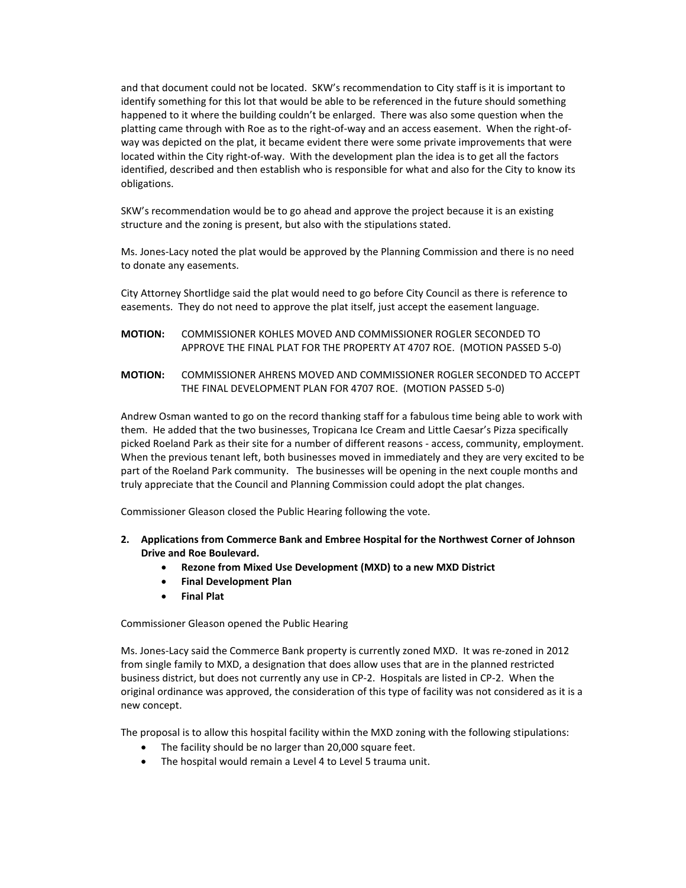and that document could not be located. SKW's recommendation to City staff is it is important to identify something for this lot that would be able to be referenced in the future should something happened to it where the building couldn't be enlarged. There was also some question when the platting came through with Roe as to the right-of-way and an access easement. When the right-ofway was depicted on the plat, it became evident there were some private improvements that were located within the City right-of-way. With the development plan the idea is to get all the factors identified, described and then establish who is responsible for what and also for the City to know its obligations.

SKW's recommendation would be to go ahead and approve the project because it is an existing structure and the zoning is present, but also with the stipulations stated.

Ms. Jones-Lacy noted the plat would be approved by the Planning Commission and there is no need to donate any easements.

City Attorney Shortlidge said the plat would need to go before City Council as there is reference to easements. They do not need to approve the plat itself, just accept the easement language.

- **MOTION:** COMMISSIONER KOHLES MOVED AND COMMISSIONER ROGLER SECONDED TO APPROVE THE FINAL PLAT FOR THE PROPERTY AT 4707 ROE. (MOTION PASSED 5-0)
- **MOTION:** COMMISSIONER AHRENS MOVED AND COMMISSIONER ROGLER SECONDED TO ACCEPT THE FINAL DEVELOPMENT PLAN FOR 4707 ROE. (MOTION PASSED 5-0)

Andrew Osman wanted to go on the record thanking staff for a fabulous time being able to work with them. He added that the two businesses, Tropicana Ice Cream and Little Caesar's Pizza specifically picked Roeland Park as their site for a number of different reasons - access, community, employment. When the previous tenant left, both businesses moved in immediately and they are very excited to be part of the Roeland Park community. The businesses will be opening in the next couple months and truly appreciate that the Council and Planning Commission could adopt the plat changes.

Commissioner Gleason closed the Public Hearing following the vote.

- **2. Applications from Commerce Bank and Embree Hospital for the Northwest Corner of Johnson Drive and Roe Boulevard.** 
	- **Rezone from Mixed Use Development (MXD) to a new MXD District**
	- **Final Development Plan**
	- **Final Plat**

Commissioner Gleason opened the Public Hearing

Ms. Jones-Lacy said the Commerce Bank property is currently zoned MXD. It was re-zoned in 2012 from single family to MXD, a designation that does allow uses that are in the planned restricted business district, but does not currently any use in CP-2. Hospitals are listed in CP-2. When the original ordinance was approved, the consideration of this type of facility was not considered as it is a new concept.

The proposal is to allow this hospital facility within the MXD zoning with the following stipulations:

- The facility should be no larger than 20,000 square feet.
- The hospital would remain a Level 4 to Level 5 trauma unit.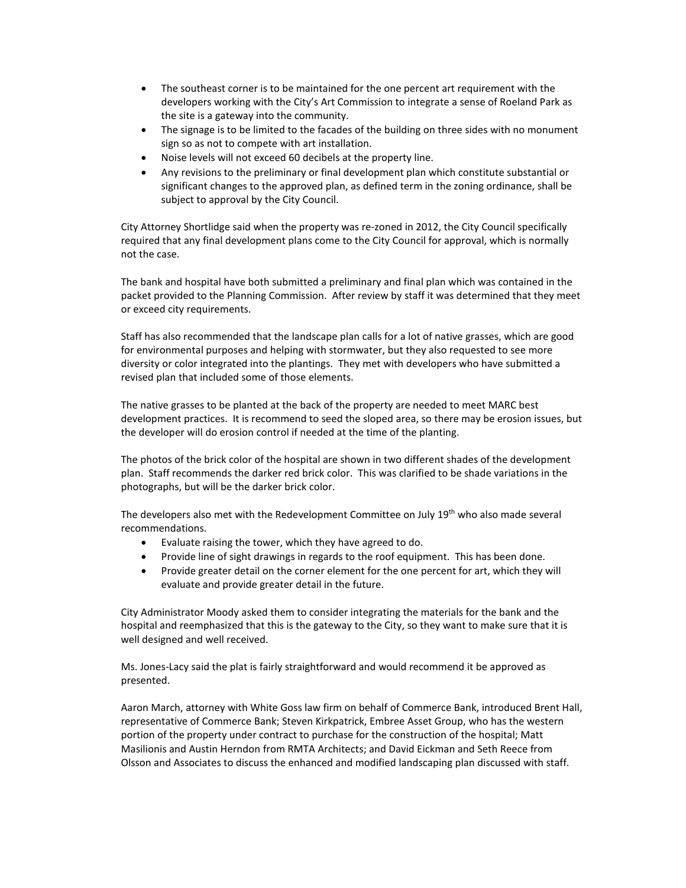- The southeast corner is to be maintained for the one percent art requirement with the developers working with the City's Art Commission to integrate a sense of Roeland Park as the site is a gateway into the community.
- The signage is to be limited to the facades of the building on three sides with no monument sign so as not to compete with art installation.
- Noise levels will not exceed 60 decibels at the property line.
- Any revisions to the preliminary or final development plan which constitute substantial or significant changes to the approved plan, as defined term in the zoning ordinance, shall be subject to approval by the City Council.

City Attorney Shortlidge said when the property was re-zoned in 2012, the City Council specifically required that any final development plans come to the City Council for approval, which is normally not the case.

The bank and hospital have both submitted a preliminary and final plan which was contained in the packet provided to the Planning Commission. After review by staff it was determined that they meet or exceed city requirements.

Staff has also recommended that the landscape plan calls for a lot of native grasses, which are good for environmental purposes and helping with stormwater, but they also requested to see more diversity or color integrated into the plantings. They met with developers who have submitted a revised plan that included some of those elements.

The native grasses to be planted at the back of the property are needed to meet MARC best development practices. It is recommend to seed the sloped area, so there may be erosion issues, but the developer will do erosion control if needed at the time of the planting.

The photos of the brick color of the hospital are shown in two different shades of the development plan. Staff recommends the darker red brick color. This was clarified to be shade variations in the photographs, but will be the darker brick color.

The developers also met with the Redevelopment Committee on July 19<sup>th</sup> who also made several recommendations.

- Evaluate raising the tower, which they have agreed to do.
- Provide line of sight drawings in regards to the roof equipment. This has been done.
- Provide greater detail on the corner element for the one percent for art, which they will evaluate and provide greater detail in the future.

City Administrator Moody asked them to consider integrating the materials for the bank and the hospital and reemphasized that this is the gateway to the City, so they want to make sure that it is well designed and well received.

Ms. Jones-Lacy said the plat is fairly straightforward and would recommend it be approved as presented.

Aaron March, attorney with White Goss law firm on behalf of Commerce Bank, introduced Brent Hall, representative of Commerce Bank; Steven Kirkpatrick, Embree Asset Group, who has the western portion of the property under contract to purchase for the construction of the hospital; Matt Masilionis and Austin Herndon from RMTA Architects; and David Eickman and Seth Reece from Olsson and Associates to discuss the enhanced and modified landscaping plan discussed with staff.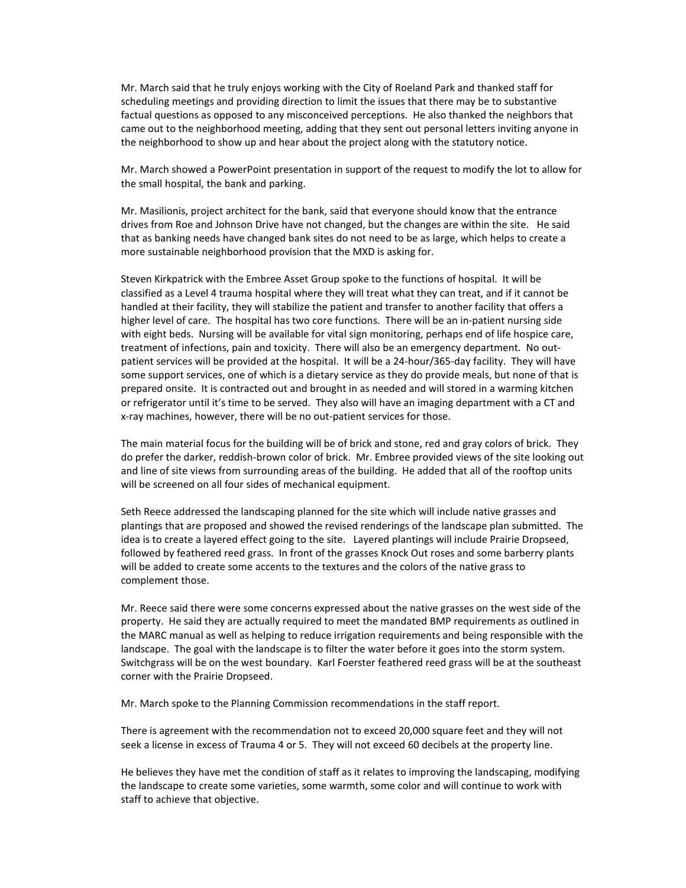Mr. March said that he truly enjoys working with the City of Roeland Park and thanked staff for scheduling meetings and providing direction to limit the issues that there may be to substantive factual questions as opposed to any misconceived perceptions. He also thanked the neighbors that came out to the neighborhood meeting, adding that they sent out personal letters inviting anyone in the neighborhood to show up and hear about the project along with the statutory notice.

Mr. March showed a PowerPoint presentation in support of the request to modify the lot to allow for the small hospital, the bank and parking.

Mr. Masilionis, project architect for the bank, said that everyone should know that the entrance drives from Roe and Johnson Drive have not changed, but the changes are within the site. He said that as banking needs have changed bank sites do not need to be as large, which helps to create a more sustainable neighborhood provision that the MXD is asking for.

Steven Kirkpatrick with the Embree Asset Group spoke to the functions of hospital. It will be classified as a Level 4 trauma hospital where they will treat what they can treat, and if it cannot be handled at their facility, they will stabilize the patient and transfer to another facility that offers a higher level of care. The hospital has two core functions. There will be an in-patient nursing side with eight beds. Nursing will be available for vital sign monitoring, perhaps end of life hospice care, treatment of infections, pain and toxicity. There will also be an emergency department. No outpatient services will be provided at the hospital. It will be a 24-hour/365-day facility. They will have some support services, one of which is a dietary service as they do provide meals, but none of that is prepared onsite. It is contracted out and brought in as needed and will stored in a warming kitchen or refrigerator until it's time to be served. They also will have an imaging department with a CT and x-ray machines, however, there will be no out-patient services for those.

The main material focus for the building will be of brick and stone, red and gray colors of brick. They do prefer the darker, reddish-brown color of brick. Mr. Embree provided views of the site looking out and line of site views from surrounding areas of the building. He added that all of the rooftop units will be screened on all four sides of mechanical equipment.

Seth Reece addressed the landscaping planned for the site which will include native grasses and plantings that are proposed and showed the revised renderings of the landscape plan submitted. The idea is to create a layered effect going to the site. Layered plantings will include Prairie Dropseed, followed by feathered reed grass. In front of the grasses Knock Out roses and some barberry plants will be added to create some accents to the textures and the colors of the native grass to complement those.

Mr. Reece said there were some concerns expressed about the native grasses on the west side of the property. He said they are actually required to meet the mandated BMP requirements as outlined in the MARC manual as well as helping to reduce irrigation requirements and being responsible with the landscape. The goal with the landscape is to filter the water before it goes into the storm system. Switchgrass will be on the west boundary. Karl Foerster feathered reed grass will be at the southeast corner with the Prairie Dropseed.

Mr. March spoke to the Planning Commission recommendations in the staff report.

There is agreement with the recommendation not to exceed 20,000 square feet and they will not seek a license in excess of Trauma 4 or 5. They will not exceed 60 decibels at the property line.

He believes they have met the condition of staff as it relates to improving the landscaping, modifying the landscape to create some varieties, some warmth, some color and will continue to work with staff to achieve that objective.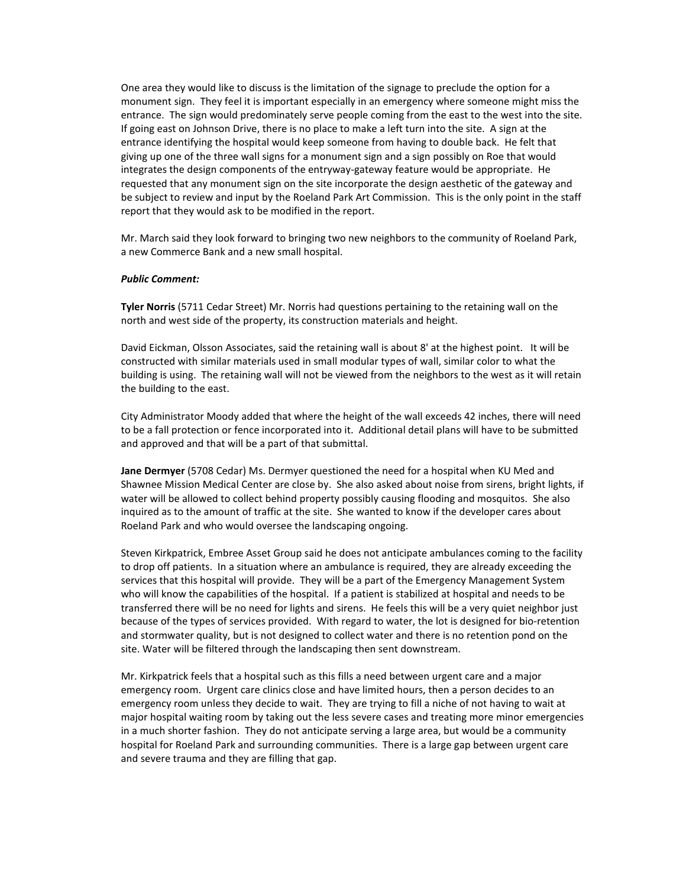One area they would like to discuss is the limitation of the signage to preclude the option for a monument sign. They feel it is important especially in an emergency where someone might miss the entrance. The sign would predominately serve people coming from the east to the west into the site. If going east on Johnson Drive, there is no place to make a left turn into the site. A sign at the entrance identifying the hospital would keep someone from having to double back. He felt that giving up one of the three wall signs for a monument sign and a sign possibly on Roe that would integrates the design components of the entryway-gateway feature would be appropriate. He requested that any monument sign on the site incorporate the design aesthetic of the gateway and be subject to review and input by the Roeland Park Art Commission. This is the only point in the staff report that they would ask to be modified in the report.

Mr. March said they look forward to bringing two new neighbors to the community of Roeland Park, a new Commerce Bank and a new small hospital.

#### *Public Comment:*

**Tyler Norris** (5711 Cedar Street) Mr. Norris had questions pertaining to the retaining wall on the north and west side of the property, its construction materials and height.

David Eickman, Olsson Associates, said the retaining wall is about 8' at the highest point. It will be constructed with similar materials used in small modular types of wall, similar color to what the building is using. The retaining wall will not be viewed from the neighbors to the west as it will retain the building to the east.

City Administrator Moody added that where the height of the wall exceeds 42 inches, there will need to be a fall protection or fence incorporated into it. Additional detail plans will have to be submitted and approved and that will be a part of that submittal.

**Jane Dermyer** (5708 Cedar) Ms. Dermyer questioned the need for a hospital when KU Med and Shawnee Mission Medical Center are close by. She also asked about noise from sirens, bright lights, if water will be allowed to collect behind property possibly causing flooding and mosquitos. She also inquired as to the amount of traffic at the site. She wanted to know if the developer cares about Roeland Park and who would oversee the landscaping ongoing.

Steven Kirkpatrick, Embree Asset Group said he does not anticipate ambulances coming to the facility to drop off patients. In a situation where an ambulance is required, they are already exceeding the services that this hospital will provide. They will be a part of the Emergency Management System who will know the capabilities of the hospital. If a patient is stabilized at hospital and needs to be transferred there will be no need for lights and sirens. He feels this will be a very quiet neighbor just because of the types of services provided. With regard to water, the lot is designed for bio-retention and stormwater quality, but is not designed to collect water and there is no retention pond on the site. Water will be filtered through the landscaping then sent downstream.

Mr. Kirkpatrick feels that a hospital such as this fills a need between urgent care and a major emergency room. Urgent care clinics close and have limited hours, then a person decides to an emergency room unless they decide to wait. They are trying to fill a niche of not having to wait at major hospital waiting room by taking out the less severe cases and treating more minor emergencies in a much shorter fashion. They do not anticipate serving a large area, but would be a community hospital for Roeland Park and surrounding communities. There is a large gap between urgent care and severe trauma and they are filling that gap.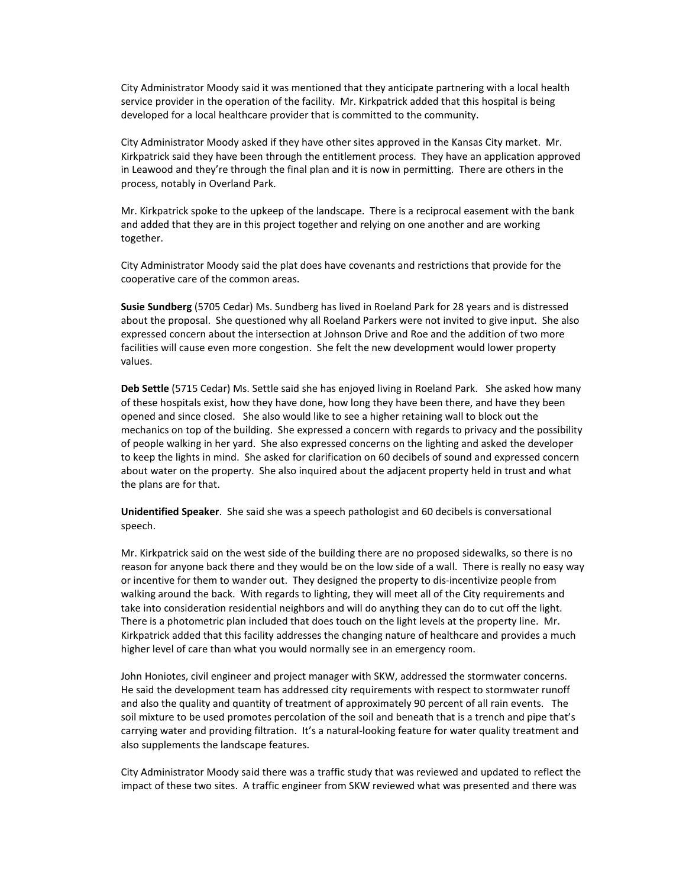City Administrator Moody said it was mentioned that they anticipate partnering with a local health service provider in the operation of the facility. Mr. Kirkpatrick added that this hospital is being developed for a local healthcare provider that is committed to the community.

City Administrator Moody asked if they have other sites approved in the Kansas City market. Mr. Kirkpatrick said they have been through the entitlement process. They have an application approved in Leawood and they're through the final plan and it is now in permitting. There are others in the process, notably in Overland Park.

Mr. Kirkpatrick spoke to the upkeep of the landscape. There is a reciprocal easement with the bank and added that they are in this project together and relying on one another and are working together.

City Administrator Moody said the plat does have covenants and restrictions that provide for the cooperative care of the common areas.

**Susie Sundberg** (5705 Cedar) Ms. Sundberg has lived in Roeland Park for 28 years and is distressed about the proposal. She questioned why all Roeland Parkers were not invited to give input. She also expressed concern about the intersection at Johnson Drive and Roe and the addition of two more facilities will cause even more congestion. She felt the new development would lower property values.

**Deb Settle** (5715 Cedar) Ms. Settle said she has enjoyed living in Roeland Park. She asked how many of these hospitals exist, how they have done, how long they have been there, and have they been opened and since closed. She also would like to see a higher retaining wall to block out the mechanics on top of the building. She expressed a concern with regards to privacy and the possibility of people walking in her yard. She also expressed concerns on the lighting and asked the developer to keep the lights in mind. She asked for clarification on 60 decibels of sound and expressed concern about water on the property. She also inquired about the adjacent property held in trust and what the plans are for that.

**Unidentified Speaker**. She said she was a speech pathologist and 60 decibels is conversational speech.

Mr. Kirkpatrick said on the west side of the building there are no proposed sidewalks, so there is no reason for anyone back there and they would be on the low side of a wall. There is really no easy way or incentive for them to wander out. They designed the property to dis-incentivize people from walking around the back. With regards to lighting, they will meet all of the City requirements and take into consideration residential neighbors and will do anything they can do to cut off the light. There is a photometric plan included that does touch on the light levels at the property line. Mr. Kirkpatrick added that this facility addresses the changing nature of healthcare and provides a much higher level of care than what you would normally see in an emergency room.

John Honiotes, civil engineer and project manager with SKW, addressed the stormwater concerns. He said the development team has addressed city requirements with respect to stormwater runoff and also the quality and quantity of treatment of approximately 90 percent of all rain events. The soil mixture to be used promotes percolation of the soil and beneath that is a trench and pipe that's carrying water and providing filtration. It's a natural-looking feature for water quality treatment and also supplements the landscape features.

City Administrator Moody said there was a traffic study that was reviewed and updated to reflect the impact of these two sites. A traffic engineer from SKW reviewed what was presented and there was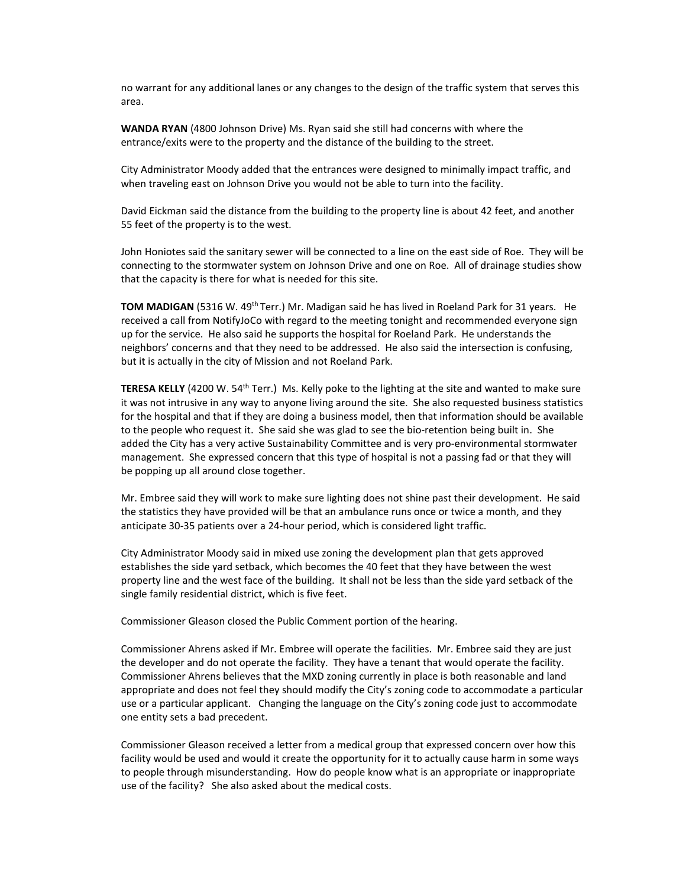no warrant for any additional lanes or any changes to the design of the traffic system that serves this area.

**WANDA RYAN** (4800 Johnson Drive) Ms. Ryan said she still had concerns with where the entrance/exits were to the property and the distance of the building to the street.

City Administrator Moody added that the entrances were designed to minimally impact traffic, and when traveling east on Johnson Drive you would not be able to turn into the facility.

David Eickman said the distance from the building to the property line is about 42 feet, and another 55 feet of the property is to the west.

John Honiotes said the sanitary sewer will be connected to a line on the east side of Roe. They will be connecting to the stormwater system on Johnson Drive and one on Roe. All of drainage studies show that the capacity is there for what is needed for this site.

**TOM MADIGAN** (5316 W. 49th Terr.) Mr. Madigan said he has lived in Roeland Park for 31 years. He received a call from NotifyJoCo with regard to the meeting tonight and recommended everyone sign up for the service. He also said he supports the hospital for Roeland Park. He understands the neighbors' concerns and that they need to be addressed. He also said the intersection is confusing, but it is actually in the city of Mission and not Roeland Park.

TERESA KELLY (4200 W. 54<sup>th</sup> Terr.) Ms. Kelly poke to the lighting at the site and wanted to make sure it was not intrusive in any way to anyone living around the site. She also requested business statistics for the hospital and that if they are doing a business model, then that information should be available to the people who request it. She said she was glad to see the bio-retention being built in. She added the City has a very active Sustainability Committee and is very pro-environmental stormwater management. She expressed concern that this type of hospital is not a passing fad or that they will be popping up all around close together.

Mr. Embree said they will work to make sure lighting does not shine past their development. He said the statistics they have provided will be that an ambulance runs once or twice a month, and they anticipate 30-35 patients over a 24-hour period, which is considered light traffic.

City Administrator Moody said in mixed use zoning the development plan that gets approved establishes the side yard setback, which becomes the 40 feet that they have between the west property line and the west face of the building. It shall not be less than the side yard setback of the single family residential district, which is five feet.

Commissioner Gleason closed the Public Comment portion of the hearing.

Commissioner Ahrens asked if Mr. Embree will operate the facilities. Mr. Embree said they are just the developer and do not operate the facility. They have a tenant that would operate the facility. Commissioner Ahrens believes that the MXD zoning currently in place is both reasonable and land appropriate and does not feel they should modify the City's zoning code to accommodate a particular use or a particular applicant. Changing the language on the City's zoning code just to accommodate one entity sets a bad precedent.

Commissioner Gleason received a letter from a medical group that expressed concern over how this facility would be used and would it create the opportunity for it to actually cause harm in some ways to people through misunderstanding. How do people know what is an appropriate or inappropriate use of the facility? She also asked about the medical costs.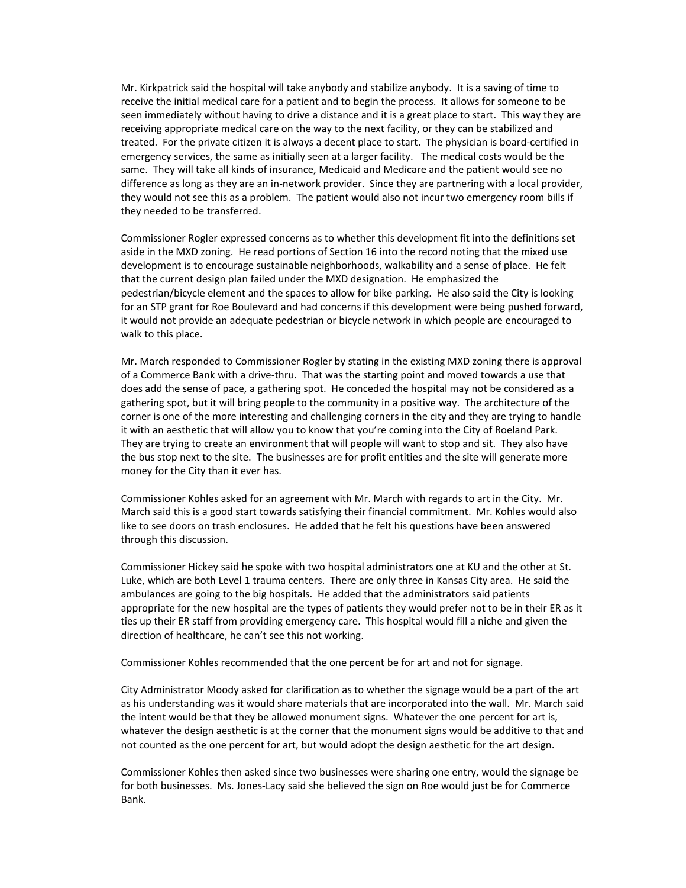Mr. Kirkpatrick said the hospital will take anybody and stabilize anybody. It is a saving of time to receive the initial medical care for a patient and to begin the process. It allows for someone to be seen immediately without having to drive a distance and it is a great place to start. This way they are receiving appropriate medical care on the way to the next facility, or they can be stabilized and treated. For the private citizen it is always a decent place to start. The physician is board-certified in emergency services, the same as initially seen at a larger facility. The medical costs would be the same. They will take all kinds of insurance, Medicaid and Medicare and the patient would see no difference as long as they are an in-network provider. Since they are partnering with a local provider, they would not see this as a problem. The patient would also not incur two emergency room bills if they needed to be transferred.

Commissioner Rogler expressed concerns as to whether this development fit into the definitions set aside in the MXD zoning. He read portions of Section 16 into the record noting that the mixed use development is to encourage sustainable neighborhoods, walkability and a sense of place. He felt that the current design plan failed under the MXD designation. He emphasized the pedestrian/bicycle element and the spaces to allow for bike parking. He also said the City is looking for an STP grant for Roe Boulevard and had concerns if this development were being pushed forward, it would not provide an adequate pedestrian or bicycle network in which people are encouraged to walk to this place.

Mr. March responded to Commissioner Rogler by stating in the existing MXD zoning there is approval of a Commerce Bank with a drive-thru. That was the starting point and moved towards a use that does add the sense of pace, a gathering spot. He conceded the hospital may not be considered as a gathering spot, but it will bring people to the community in a positive way. The architecture of the corner is one of the more interesting and challenging corners in the city and they are trying to handle it with an aesthetic that will allow you to know that you're coming into the City of Roeland Park. They are trying to create an environment that will people will want to stop and sit. They also have the bus stop next to the site. The businesses are for profit entities and the site will generate more money for the City than it ever has.

Commissioner Kohles asked for an agreement with Mr. March with regards to art in the City. Mr. March said this is a good start towards satisfying their financial commitment. Mr. Kohles would also like to see doors on trash enclosures. He added that he felt his questions have been answered through this discussion.

Commissioner Hickey said he spoke with two hospital administrators one at KU and the other at St. Luke, which are both Level 1 trauma centers. There are only three in Kansas City area. He said the ambulances are going to the big hospitals. He added that the administrators said patients appropriate for the new hospital are the types of patients they would prefer not to be in their ER as it ties up their ER staff from providing emergency care. This hospital would fill a niche and given the direction of healthcare, he can't see this not working.

Commissioner Kohles recommended that the one percent be for art and not for signage.

City Administrator Moody asked for clarification as to whether the signage would be a part of the art as his understanding was it would share materials that are incorporated into the wall. Mr. March said the intent would be that they be allowed monument signs. Whatever the one percent for art is, whatever the design aesthetic is at the corner that the monument signs would be additive to that and not counted as the one percent for art, but would adopt the design aesthetic for the art design.

Commissioner Kohles then asked since two businesses were sharing one entry, would the signage be for both businesses. Ms. Jones-Lacy said she believed the sign on Roe would just be for Commerce Bank.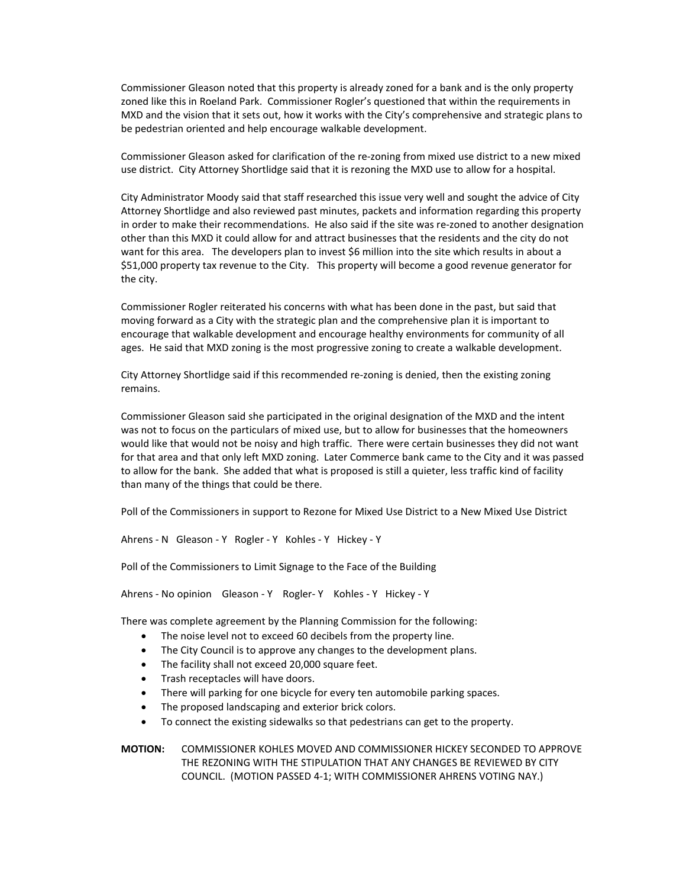Commissioner Gleason noted that this property is already zoned for a bank and is the only property zoned like this in Roeland Park. Commissioner Rogler's questioned that within the requirements in MXD and the vision that it sets out, how it works with the City's comprehensive and strategic plans to be pedestrian oriented and help encourage walkable development.

Commissioner Gleason asked for clarification of the re-zoning from mixed use district to a new mixed use district. City Attorney Shortlidge said that it is rezoning the MXD use to allow for a hospital.

City Administrator Moody said that staff researched this issue very well and sought the advice of City Attorney Shortlidge and also reviewed past minutes, packets and information regarding this property in order to make their recommendations. He also said if the site was re-zoned to another designation other than this MXD it could allow for and attract businesses that the residents and the city do not want for this area. The developers plan to invest \$6 million into the site which results in about a \$51,000 property tax revenue to the City. This property will become a good revenue generator for the city.

Commissioner Rogler reiterated his concerns with what has been done in the past, but said that moving forward as a City with the strategic plan and the comprehensive plan it is important to encourage that walkable development and encourage healthy environments for community of all ages. He said that MXD zoning is the most progressive zoning to create a walkable development.

City Attorney Shortlidge said if this recommended re-zoning is denied, then the existing zoning remains.

Commissioner Gleason said she participated in the original designation of the MXD and the intent was not to focus on the particulars of mixed use, but to allow for businesses that the homeowners would like that would not be noisy and high traffic. There were certain businesses they did not want for that area and that only left MXD zoning. Later Commerce bank came to the City and it was passed to allow for the bank. She added that what is proposed is still a quieter, less traffic kind of facility than many of the things that could be there.

Poll of the Commissioners in support to Rezone for Mixed Use District to a New Mixed Use District

Ahrens - N Gleason - Y Rogler - Y Kohles - Y Hickey - Y

Poll of the Commissioners to Limit Signage to the Face of the Building

Ahrens - No opinion Gleason - Y Rogler- Y Kohles - Y Hickey - Y

There was complete agreement by the Planning Commission for the following:

- The noise level not to exceed 60 decibels from the property line.
- The City Council is to approve any changes to the development plans.
- The facility shall not exceed 20,000 square feet.
- Trash receptacles will have doors.
- There will parking for one bicycle for every ten automobile parking spaces.
- The proposed landscaping and exterior brick colors.
- To connect the existing sidewalks so that pedestrians can get to the property.

**MOTION:** COMMISSIONER KOHLES MOVED AND COMMISSIONER HICKEY SECONDED TO APPROVE THE REZONING WITH THE STIPULATION THAT ANY CHANGES BE REVIEWED BY CITY COUNCIL. (MOTION PASSED 4-1; WITH COMMISSIONER AHRENS VOTING NAY.)